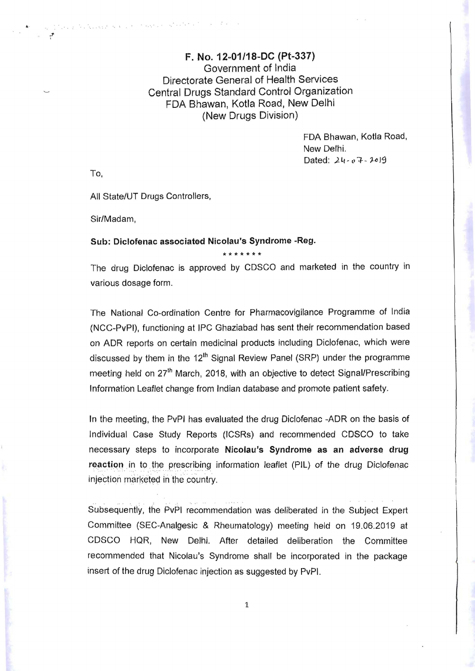## F. No. 12-01/18-DC (Pt-337) Government of India Directorate General of Health Services Central Drugs Standard Control Organization FDA Bhawan, Kotla Road, New Delhi (New Drugs Division)

FDA Bhawan, Kotla Road, New Delhi. Dated: 24-07-2019

To,

..

j ,

All State/UT Drugs Controllers,

 $\label{eq:R1} \mathcal{H}(\mathcal{G}_\mu \mathcal{G}^{\mu\nu})_{\mu} \left( x \right) = \mathcal{G}^{\mu\nu}_\mu \left( x \right)^{\frac{1}{2}} e^{i \mathcal{H}^{\mu\nu}} \left( x \right)^{-1}$ 

Sir/Madam,

## Sub: Diclofenac associated Nicolau's Syndrome ~Reg.

\*\*\*\*\*\*\*

The drug Diclofenac is approved by CDSCO and marketed in the country in various dosage form.

The National Co-ordination Centre for Pharmacovigilance Programme of India (NCC-PvPI), functioning at IPC Ghaziabad has sent their recommendation based on ADR reports on certain medicinal products including Diclofenac, which were discussed by them in the 12<sup>th</sup> Signal Review Panel (SRP) under the programme meeting held on 27<sup>th</sup> March, 2018, with an objective to detect Signal/Prescribing Information Leaflet change from Indian database and promote patient safety.

In the meeting, the PvPI has evaluated the drug Diclofenac -ADR on the basis of Individual Case Study Reports (ICSRs) and recommended CDSCO to take necessary steps to incorporate Nicolau's Syndrome as an adverse drug reaction in to the prescribing information leaflet (PIL) of the drug Diclofenac injection marketed in the country.

Subsequently, the PvPI recommendation was deliberated in the Subject Expert Committee (SEC-Analgesic & Rheumatology) meeting held on 19.06.2019 at CDSCO HQR, New Delhi. After detailed deliberation the Committee recommended that Nicolau's Syndrome shall be incorporated in the package insert of the drug Diclofenac injection as suggested by PvPI.

1